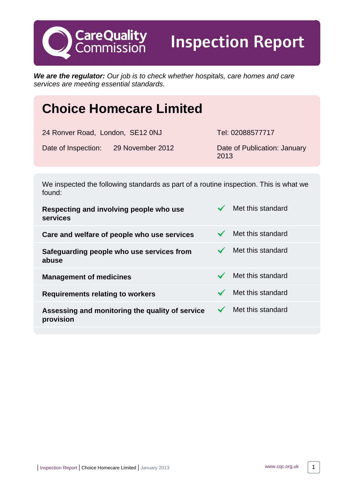**CareQuality**<br>Commission

Inspection Report

**We are the regulator:** Our job is to check whether hospitals, care homes and care services are meeting essential standards.

# **Choice Homecare Limited**

Date of Inspection: 29 November 2012 Date of Publication: January

Tel: 02088577717

2013

We inspected the following standards as part of a routine inspection. This is what we found:

| Met this standard |
|-------------------|
| Met this standard |
| Met this standard |
| Met this standard |
| Met this standard |
| Met this standard |
|                   |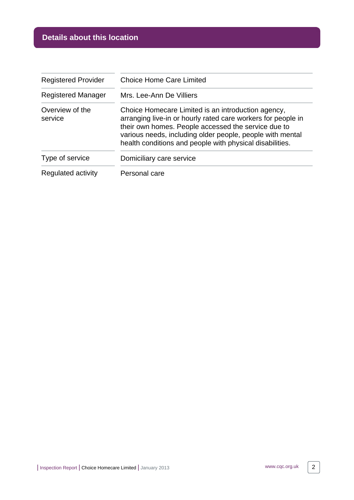# **Details about this location**

| <b>Registered Provider</b> | <b>Choice Home Care Limited</b>                                                                                                                                                                                                                                                                    |  |
|----------------------------|----------------------------------------------------------------------------------------------------------------------------------------------------------------------------------------------------------------------------------------------------------------------------------------------------|--|
| <b>Registered Manager</b>  | Mrs. Lee-Ann De Villiers                                                                                                                                                                                                                                                                           |  |
| Overview of the<br>service | Choice Homecare Limited is an introduction agency,<br>arranging live-in or hourly rated care workers for people in<br>their own homes. People accessed the service due to<br>various needs, including older people, people with mental<br>health conditions and people with physical disabilities. |  |
| Type of service            | Domiciliary care service                                                                                                                                                                                                                                                                           |  |
| Regulated activity         | Personal care                                                                                                                                                                                                                                                                                      |  |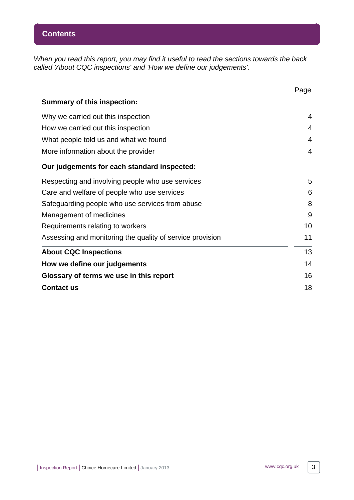When you read this report, you may find it useful to read the sections towards the back called 'About CQC inspections' and 'How we define our judgements'.

|                                                           | Page |  |  |  |
|-----------------------------------------------------------|------|--|--|--|
| <b>Summary of this inspection:</b>                        |      |  |  |  |
| Why we carried out this inspection                        | 4    |  |  |  |
| How we carried out this inspection                        | 4    |  |  |  |
| What people told us and what we found                     | 4    |  |  |  |
| More information about the provider                       |      |  |  |  |
| Our judgements for each standard inspected:               |      |  |  |  |
| Respecting and involving people who use services          | 5    |  |  |  |
| Care and welfare of people who use services               | 6    |  |  |  |
| Safeguarding people who use services from abuse           | 8    |  |  |  |
| Management of medicines                                   | 9    |  |  |  |
| Requirements relating to workers                          | 10   |  |  |  |
| Assessing and monitoring the quality of service provision | 11   |  |  |  |
| <b>About CQC Inspections</b>                              | 13   |  |  |  |
| How we define our judgements                              | 14   |  |  |  |
| Glossary of terms we use in this report                   |      |  |  |  |
| <b>Contact us</b>                                         |      |  |  |  |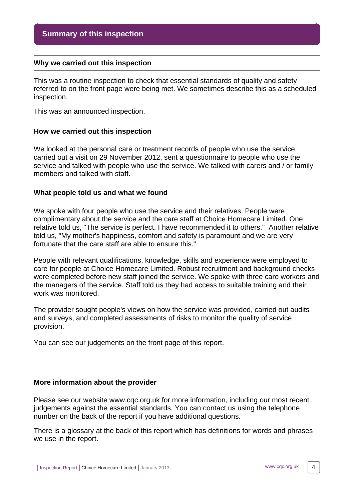#### <span id="page-3-0"></span>**Why we carried out this inspection**

This was a routine inspection to check that essential standards of quality and safety referred to on the front page were being met. We sometimes describe this as a scheduled inspection.

This was an announced inspection.

#### <span id="page-3-1"></span>**How we carried out this inspection**

We looked at the personal care or treatment records of people who use the service, carried out a visit on 29 November 2012, sent a questionnaire to people who use the service and talked with people who use the service. We talked with carers and / or family members and talked with staff.

#### <span id="page-3-2"></span>**What people told us and what we found**

We spoke with four people who use the service and their relatives. People were complimentary about the service and the care staff at Choice Homecare Limited. One relative told us, "The service is perfect. I have recommended it to others." Another relative told us, "My mother's happiness, comfort and safety is paramount and we are very fortunate that the care staff are able to ensure this."

People with relevant qualifications, knowledge, skills and experience were employed to care for people at Choice Homecare Limited. Robust recruitment and background checks were completed before new staff joined the service. We spoke with three care workers and the managers of the service. Staff told us they had access to suitable training and their work was monitored.

The provider sought people's views on how the service was provided, carried out audits and surveys, and completed assessments of risks to monitor the quality of service provision.

You can see our judgements on the front page of this report.

#### <span id="page-3-3"></span>**More information about the provider**

Please see our website www.cqc.org.uk for more information, including our most recent judgements against the essential standards. You can contact us using the telephone number on the back of the report if you have additional questions.

There is a glossary at the back of this report which has definitions for words and phrases we use in the report.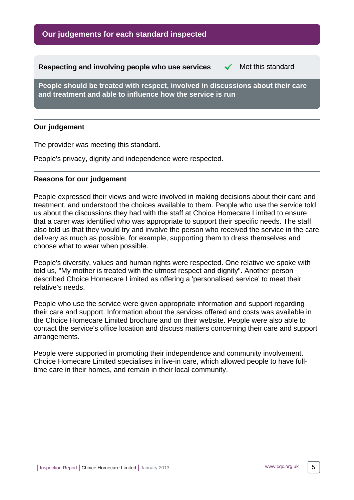<span id="page-4-0"></span>**Respecting and involving people who use services**  $\checkmark$  **Met this standard** 

**People should be treated with respect, involved in discussions about their care and treatment and able to influence how the service is run**

# **Our judgement**

The provider was meeting this standard.

People's privacy, dignity and independence were respected.

#### **Reasons for our judgement**

People expressed their views and were involved in making decisions about their care and treatment, and understood the choices available to them. People who use the service told us about the discussions they had with the staff at Choice Homecare Limited to ensure that a carer was identified who was appropriate to support their specific needs. The staff also told us that they would try and involve the person who received the service in the care delivery as much as possible, for example, supporting them to dress themselves and choose what to wear when possible.

People's diversity, values and human rights were respected. One relative we spoke with told us, "My mother is treated with the utmost respect and dignity". Another person described Choice Homecare Limited as offering a 'personalised service' to meet their relative's needs.

People who use the service were given appropriate information and support regarding their care and support. Information about the services offered and costs was available in the Choice Homecare Limited brochure and on their website. People were also able to contact the service's office location and discuss matters concerning their care and support arrangements.

People were supported in promoting their independence and community involvement. Choice Homecare Limited specialises in live-in care, which allowed people to have fulltime care in their homes, and remain in their local community.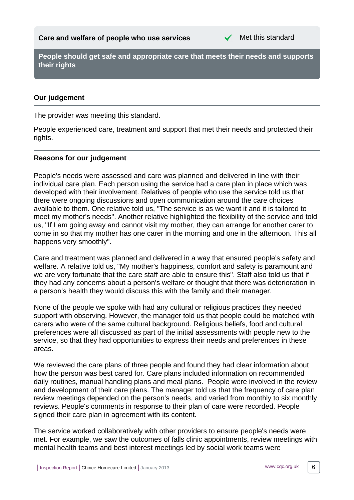

<span id="page-5-0"></span>**People should get safe and appropriate care that meets their needs and supports their rights**

# **Our judgement**

The provider was meeting this standard.

People experienced care, treatment and support that met their needs and protected their rights.

# **Reasons for our judgement**

People's needs were assessed and care was planned and delivered in line with their individual care plan. Each person using the service had a care plan in place which was developed with their involvement. Relatives of people who use the service told us that there were ongoing discussions and open communication around the care choices available to them. One relative told us, "The service is as we want it and it is tailored to meet my mother's needs". Another relative highlighted the flexibility of the service and told us, "If I am going away and cannot visit my mother, they can arrange for another carer to come in so that my mother has one carer in the morning and one in the afternoon. This all happens very smoothly".

Care and treatment was planned and delivered in a way that ensured people's safety and welfare. A relative told us, "My mother's happiness, comfort and safety is paramount and we are very fortunate that the care staff are able to ensure this". Staff also told us that if they had any concerns about a person's welfare or thought that there was deterioration in a person's health they would discuss this with the family and their manager.

None of the people we spoke with had any cultural or religious practices they needed support with observing. However, the manager told us that people could be matched with carers who were of the same cultural background. Religious beliefs, food and cultural preferences were all discussed as part of the initial assessments with people new to the service, so that they had opportunities to express their needs and preferences in these areas.

We reviewed the care plans of three people and found they had clear information about how the person was best cared for. Care plans included information on recommended daily routines, manual handling plans and meal plans. People were involved in the review and development of their care plans. The manager told us that the frequency of care plan review meetings depended on the person's needs, and varied from monthly to six monthly reviews. People's comments in response to their plan of care were recorded. People signed their care plan in agreement with its content.

The service worked collaboratively with other providers to ensure people's needs were met. For example, we saw the outcomes of falls clinic appointments, review meetings with mental health teams and best interest meetings led by social work teams were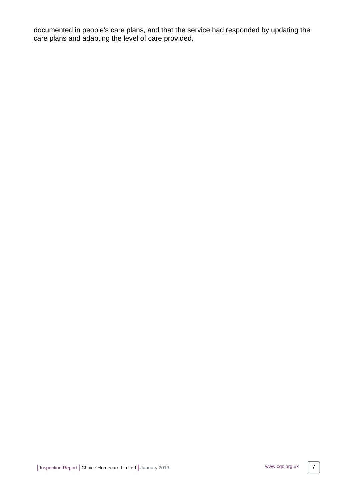documented in people's care plans, and that the service had responded by updating the care plans and adapting the level of care provided.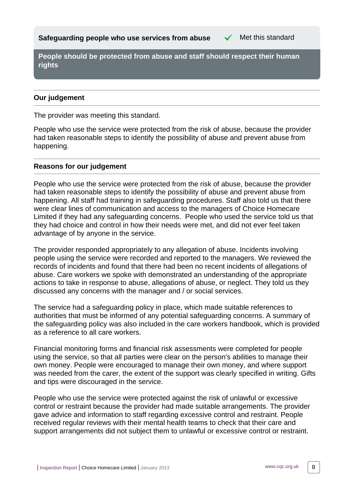<span id="page-7-0"></span>**People should be protected from abuse and staff should respect their human rights**

# **Our judgement**

The provider was meeting this standard.

People who use the service were protected from the risk of abuse, because the provider had taken reasonable steps to identify the possibility of abuse and prevent abuse from happening.

# **Reasons for our judgement**

People who use the service were protected from the risk of abuse, because the provider had taken reasonable steps to identify the possibility of abuse and prevent abuse from happening. All staff had training in safeguarding procedures. Staff also told us that there were clear lines of communication and access to the managers of Choice Homecare Limited if they had any safeguarding concerns. People who used the service told us that they had choice and control in how their needs were met, and did not ever feel taken advantage of by anyone in the service.

The provider responded appropriately to any allegation of abuse. Incidents involving people using the service were recorded and reported to the managers. We reviewed the records of incidents and found that there had been no recent incidents of allegations of abuse. Care workers we spoke with demonstrated an understanding of the appropriate actions to take in response to abuse, allegations of abuse, or neglect. They told us they discussed any concerns with the manager and / or social services.

The service had a safeguarding policy in place, which made suitable references to authorities that must be informed of any potential safeguarding concerns. A summary of the safeguarding policy was also included in the care workers handbook, which is provided as a reference to all care workers.

Financial monitoring forms and financial risk assessments were completed for people using the service, so that all parties were clear on the person's abilities to manage their own money. People were encouraged to manage their own money, and where support was needed from the carer, the extent of the support was clearly specified in writing. Gifts and tips were discouraged in the service.

People who use the service were protected against the risk of unlawful or excessive control or restraint because the provider had made suitable arrangements. The provider gave advice and information to staff regarding excessive control and restraint. People received regular reviews with their mental health teams to check that their care and support arrangements did not subject them to unlawful or excessive control or restraint.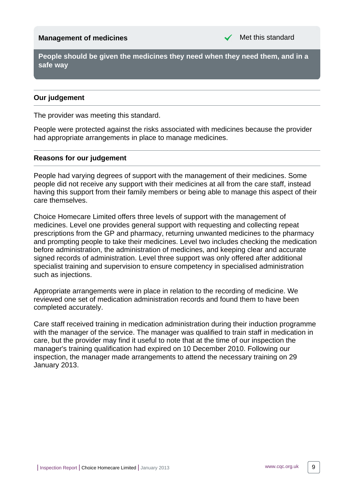# <span id="page-8-0"></span>**Management of medicines** Management of medicines

**People should be given the medicines they need when they need them, and in a safe way**

# **Our judgement**

The provider was meeting this standard.

People were protected against the risks associated with medicines because the provider had appropriate arrangements in place to manage medicines.

#### **Reasons for our judgement**

People had varying degrees of support with the management of their medicines. Some people did not receive any support with their medicines at all from the care staff, instead having this support from their family members or being able to manage this aspect of their care themselves.

Choice Homecare Limited offers three levels of support with the management of medicines. Level one provides general support with requesting and collecting repeat prescriptions from the GP and pharmacy, returning unwanted medicines to the pharmacy and prompting people to take their medicines. Level two includes checking the medication before administration, the administration of medicines, and keeping clear and accurate signed records of administration. Level three support was only offered after additional specialist training and supervision to ensure competency in specialised administration such as injections.

Appropriate arrangements were in place in relation to the recording of medicine. We reviewed one set of medication administration records and found them to have been completed accurately.

Care staff received training in medication administration during their induction programme with the manager of the service. The manager was qualified to train staff in medication in care, but the provider may find it useful to note that at the time of our inspection the manager's training qualification had expired on 10 December 2010. Following our inspection, the manager made arrangements to attend the necessary training on 29 January 2013.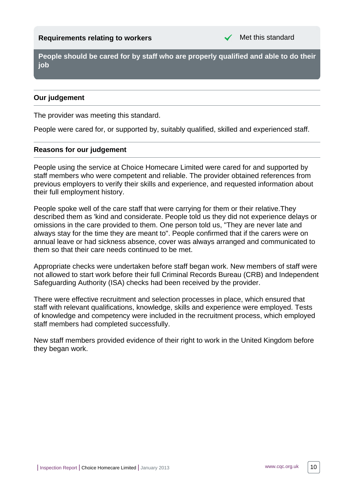<span id="page-9-0"></span>**People should be cared for by staff who are properly qualified and able to do their job**

# **Our judgement**

The provider was meeting this standard.

People were cared for, or supported by, suitably qualified, skilled and experienced staff.

# **Reasons for our judgement**

People using the service at Choice Homecare Limited were cared for and supported by staff members who were competent and reliable. The provider obtained references from previous employers to verify their skills and experience, and requested information about their full employment history.

People spoke well of the care staff that were carrying for them or their relative.They described them as 'kind and considerate. People told us they did not experience delays or omissions in the care provided to them. One person told us, "They are never late and always stay for the time they are meant to". People confirmed that if the carers were on annual leave or had sickness absence, cover was always arranged and communicated to them so that their care needs continued to be met.

Appropriate checks were undertaken before staff began work. New members of staff were not allowed to start work before their full Criminal Records Bureau (CRB) and Independent Safeguarding Authority (ISA) checks had been received by the provider.

There were effective recruitment and selection processes in place, which ensured that staff with relevant qualifications, knowledge, skills and experience were employed. Tests of knowledge and competency were included in the recruitment process, which employed staff members had completed successfully.

New staff members provided evidence of their right to work in the United Kingdom before they began work.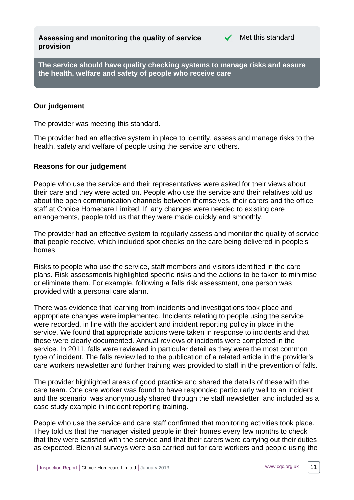<span id="page-10-0"></span>**Assessing and monitoring the quality of service provision**



**The service should have quality checking systems to manage risks and assure the health, welfare and safety of people who receive care**

# **Our judgement**

The provider was meeting this standard.

The provider had an effective system in place to identify, assess and manage risks to the health, safety and welfare of people using the service and others.

#### **Reasons for our judgement**

People who use the service and their representatives were asked for their views about their care and they were acted on. People who use the service and their relatives told us about the open communication channels between themselves, their carers and the office staff at Choice Homecare Limited. If any changes were needed to existing care arrangements, people told us that they were made quickly and smoothly.

The provider had an effective system to regularly assess and monitor the quality of service that people receive, which included spot checks on the care being delivered in people's homes.

Risks to people who use the service, staff members and visitors identified in the care plans. Risk assessments highlighted specific risks and the actions to be taken to minimise or eliminate them. For example, following a falls risk assessment, one person was provided with a personal care alarm.

There was evidence that learning from incidents and investigations took place and appropriate changes were implemented. Incidents relating to people using the service were recorded, in line with the accident and incident reporting policy in place in the service. We found that appropriate actions were taken in response to incidents and that these were clearly documented. Annual reviews of incidents were completed in the service. In 2011, falls were reviewed in particular detail as they were the most common type of incident. The falls review led to the publication of a related article in the provider's care workers newsletter and further training was provided to staff in the prevention of falls.

The provider highlighted areas of good practice and shared the details of these with the care team. One care worker was found to have responded particularly well to an incident and the scenario was anonymously shared through the staff newsletter, and included as a case study example in incident reporting training.

People who use the service and care staff confirmed that monitoring activities took place. They told us that the manager visited people in their homes every few months to check that they were satisfied with the service and that their carers were carrying out their duties as expected. Biennial surveys were also carried out for care workers and people using the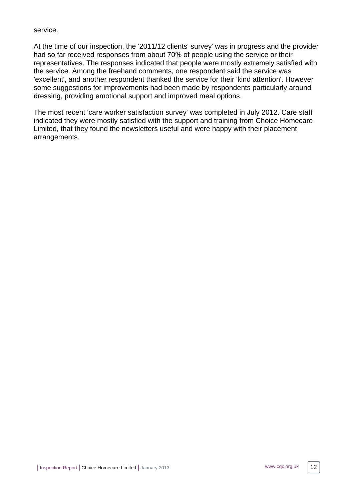# service.

At the time of our inspection, the '2011/12 clients' survey' was in progress and the provider had so far received responses from about 70% of people using the service or their representatives. The responses indicated that people were mostly extremely satisfied with the service. Among the freehand comments, one respondent said the service was 'excellent', and another respondent thanked the service for their 'kind attention'. However some suggestions for improvements had been made by respondents particularly around dressing, providing emotional support and improved meal options.

The most recent 'care worker satisfaction survey' was completed in July 2012. Care staff indicated they were mostly satisfied with the support and training from Choice Homecare Limited, that they found the newsletters useful and were happy with their placement arrangements.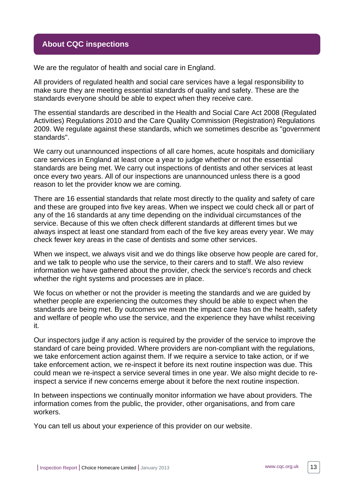# <span id="page-12-0"></span>**About CQC inspections**

We are the regulator of health and social care in England.

All providers of regulated health and social care services have a legal responsibility to make sure they are meeting essential standards of quality and safety. These are the standards everyone should be able to expect when they receive care.

The essential standards are described in the Health and Social Care Act 2008 (Regulated Activities) Regulations 2010 and the Care Quality Commission (Registration) Regulations 2009. We regulate against these standards, which we sometimes describe as "government standards".

We carry out unannounced inspections of all care homes, acute hospitals and domiciliary care services in England at least once a year to judge whether or not the essential standards are being met. We carry out inspections of dentists and other services at least once every two years. All of our inspections are unannounced unless there is a good reason to let the provider know we are coming.

There are 16 essential standards that relate most directly to the quality and safety of care and these are grouped into five key areas. When we inspect we could check all or part of any of the 16 standards at any time depending on the individual circumstances of the service. Because of this we often check different standards at different times but we always inspect at least one standard from each of the five key areas every year. We may check fewer key areas in the case of dentists and some other services.

When we inspect, we always visit and we do things like observe how people are cared for, and we talk to people who use the service, to their carers and to staff. We also review information we have gathered about the provider, check the service's records and check whether the right systems and processes are in place.

We focus on whether or not the provider is meeting the standards and we are guided by whether people are experiencing the outcomes they should be able to expect when the standards are being met. By outcomes we mean the impact care has on the health, safety and welfare of people who use the service, and the experience they have whilst receiving it.

Our inspectors judge if any action is required by the provider of the service to improve the standard of care being provided. Where providers are non-compliant with the regulations, we take enforcement action against them. If we require a service to take action, or if we take enforcement action, we re-inspect it before its next routine inspection was due. This could mean we re-inspect a service several times in one year. We also might decide to reinspect a service if new concerns emerge about it before the next routine inspection.

In between inspections we continually monitor information we have about providers. The information comes from the public, the provider, other organisations, and from care workers.

You can tell us about your experience of this provider on our website.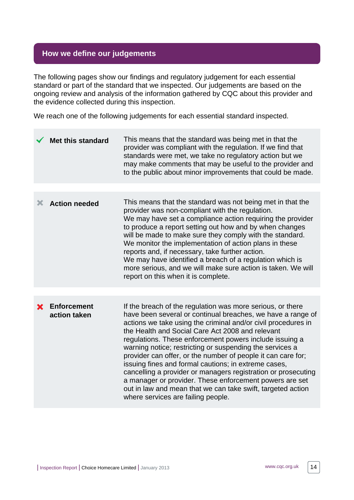# <span id="page-13-0"></span>**How we define our judgements**

The following pages show our findings and regulatory judgement for each essential standard or part of the standard that we inspected. Our judgements are based on the ongoing review and analysis of the information gathered by CQC about this provider and the evidence collected during this inspection.

We reach one of the following judgements for each essential standard inspected.

|   | <b>Met this standard</b>           | This means that the standard was being met in that the<br>provider was compliant with the regulation. If we find that<br>standards were met, we take no regulatory action but we<br>may make comments that may be useful to the provider and<br>to the public about minor improvements that could be made.                                                                                                                                                                                                                                                                                                                                                                                                                     |
|---|------------------------------------|--------------------------------------------------------------------------------------------------------------------------------------------------------------------------------------------------------------------------------------------------------------------------------------------------------------------------------------------------------------------------------------------------------------------------------------------------------------------------------------------------------------------------------------------------------------------------------------------------------------------------------------------------------------------------------------------------------------------------------|
|   |                                    |                                                                                                                                                                                                                                                                                                                                                                                                                                                                                                                                                                                                                                                                                                                                |
| Х | <b>Action needed</b>               | This means that the standard was not being met in that the<br>provider was non-compliant with the regulation.<br>We may have set a compliance action requiring the provider<br>to produce a report setting out how and by when changes<br>will be made to make sure they comply with the standard.<br>We monitor the implementation of action plans in these<br>reports and, if necessary, take further action.<br>We may have identified a breach of a regulation which is<br>more serious, and we will make sure action is taken. We will<br>report on this when it is complete.                                                                                                                                             |
|   |                                    |                                                                                                                                                                                                                                                                                                                                                                                                                                                                                                                                                                                                                                                                                                                                |
|   | <b>Enforcement</b><br>action taken | If the breach of the regulation was more serious, or there<br>have been several or continual breaches, we have a range of<br>actions we take using the criminal and/or civil procedures in<br>the Health and Social Care Act 2008 and relevant<br>regulations. These enforcement powers include issuing a<br>warning notice; restricting or suspending the services a<br>provider can offer, or the number of people it can care for;<br>issuing fines and formal cautions; in extreme cases,<br>cancelling a provider or managers registration or prosecuting<br>a manager or provider. These enforcement powers are set<br>out in law and mean that we can take swift, targeted action<br>where services are failing people. |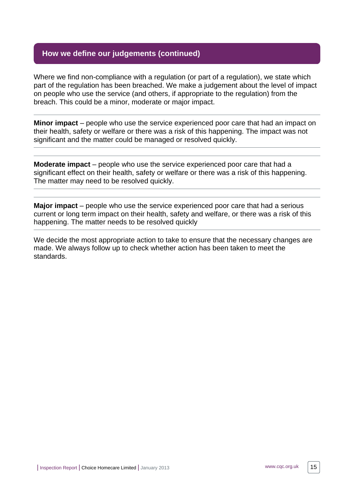# **How we define our judgements (continued)**

Where we find non-compliance with a regulation (or part of a regulation), we state which part of the regulation has been breached. We make a judgement about the level of impact on people who use the service (and others, if appropriate to the regulation) from the breach. This could be a minor, moderate or major impact.

**Minor impact** – people who use the service experienced poor care that had an impact on their health, safety or welfare or there was a risk of this happening. The impact was not significant and the matter could be managed or resolved quickly.

**Moderate impact** – people who use the service experienced poor care that had a significant effect on their health, safety or welfare or there was a risk of this happening. The matter may need to be resolved quickly.

**Major impact** – people who use the service experienced poor care that had a serious current or long term impact on their health, safety and welfare, or there was a risk of this happening. The matter needs to be resolved quickly

We decide the most appropriate action to take to ensure that the necessary changes are made. We always follow up to check whether action has been taken to meet the standards.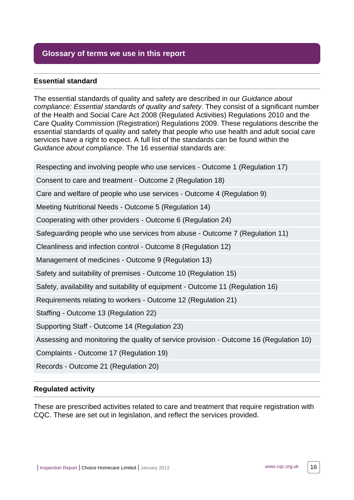# <span id="page-15-0"></span>**Glossary of terms we use in this report**

# **Essential standard**

The essential standards of quality and safety are described in our Guidance about compliance: Essential standards of quality and safety. They consist of a significant number of the Health and Social Care Act 2008 (Regulated Activities) Regulations 2010 and the Care Quality Commission (Registration) Regulations 2009. These regulations describe the essential standards of quality and safety that people who use health and adult social care services have a right to expect. A full list of the standards can be found within the Guidance about compliance. The 16 essential standards are:

Respecting and involving people who use services - Outcome 1 (Regulation 17)

Consent to care and treatment - Outcome 2 (Regulation 18)

Care and welfare of people who use services - Outcome 4 (Regulation 9)

Meeting Nutritional Needs - Outcome 5 (Regulation 14)

Cooperating with other providers - Outcome 6 (Regulation 24)

Safeguarding people who use services from abuse - Outcome 7 (Regulation 11)

Cleanliness and infection control - Outcome 8 (Regulation 12)

Management of medicines - Outcome 9 (Regulation 13)

Safety and suitability of premises - Outcome 10 (Regulation 15)

Safety, availability and suitability of equipment - Outcome 11 (Regulation 16)

Requirements relating to workers - Outcome 12 (Regulation 21)

Staffing - Outcome 13 (Regulation 22)

Supporting Staff - Outcome 14 (Regulation 23)

Assessing and monitoring the quality of service provision - Outcome 16 (Regulation 10)

Complaints - Outcome 17 (Regulation 19)

Records - Outcome 21 (Regulation 20)

#### **Regulated activity**

These are prescribed activities related to care and treatment that require registration with CQC. These are set out in legislation, and reflect the services provided.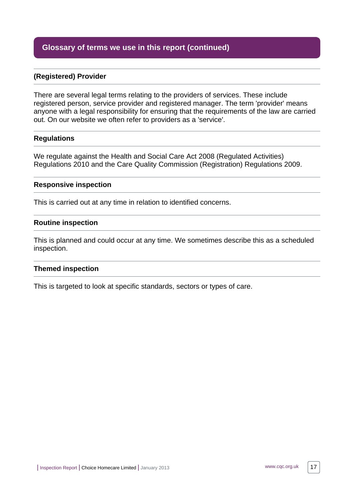# **Glossary of terms we use in this report (continued)**

# **(Registered) Provider**

There are several legal terms relating to the providers of services. These include registered person, service provider and registered manager. The term 'provider' means anyone with a legal responsibility for ensuring that the requirements of the law are carried out. On our website we often refer to providers as a 'service'.

#### **Regulations**

We regulate against the Health and Social Care Act 2008 (Regulated Activities) Regulations 2010 and the Care Quality Commission (Registration) Regulations 2009.

#### **Responsive inspection**

This is carried out at any time in relation to identified concerns.

#### **Routine inspection**

This is planned and could occur at any time. We sometimes describe this as a scheduled inspection.

#### **Themed inspection**

This is targeted to look at specific standards, sectors or types of care.